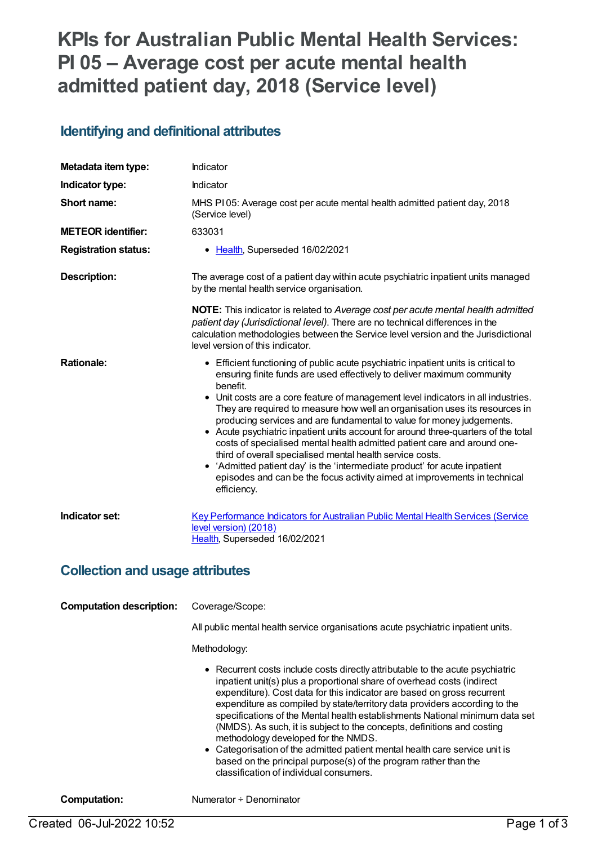# **KPIs for Australian Public Mental Health Services: PI 05 – Average cost per acute mental health admitted patient day, 2018 (Service level)**

#### **Identifying and definitional attributes**

| Metadata item type:         | Indicator                                                                                                                                                                                                                                                                                                                                                                                                                                                                                                                                                                                                                                                                                                                                                                                                                       |
|-----------------------------|---------------------------------------------------------------------------------------------------------------------------------------------------------------------------------------------------------------------------------------------------------------------------------------------------------------------------------------------------------------------------------------------------------------------------------------------------------------------------------------------------------------------------------------------------------------------------------------------------------------------------------------------------------------------------------------------------------------------------------------------------------------------------------------------------------------------------------|
| Indicator type:             | Indicator                                                                                                                                                                                                                                                                                                                                                                                                                                                                                                                                                                                                                                                                                                                                                                                                                       |
| Short name:                 | MHS PI 05: Average cost per acute mental health admitted patient day, 2018<br>(Service level)                                                                                                                                                                                                                                                                                                                                                                                                                                                                                                                                                                                                                                                                                                                                   |
| <b>METEOR identifier:</b>   | 633031                                                                                                                                                                                                                                                                                                                                                                                                                                                                                                                                                                                                                                                                                                                                                                                                                          |
| <b>Registration status:</b> | • Health, Superseded 16/02/2021                                                                                                                                                                                                                                                                                                                                                                                                                                                                                                                                                                                                                                                                                                                                                                                                 |
| Description:                | The average cost of a patient day within acute psychiatric inpatient units managed<br>by the mental health service organisation.                                                                                                                                                                                                                                                                                                                                                                                                                                                                                                                                                                                                                                                                                                |
|                             | <b>NOTE:</b> This indicator is related to Average cost per acute mental health admitted<br>patient day (Jurisdictional level). There are no technical differences in the<br>calculation methodologies between the Service level version and the Jurisdictional<br>level version of this indicator.                                                                                                                                                                                                                                                                                                                                                                                                                                                                                                                              |
| <b>Rationale:</b>           | • Efficient functioning of public acute psychiatric inpatient units is critical to<br>ensuring finite funds are used effectively to deliver maximum community<br>benefit.<br>• Unit costs are a core feature of management level indicators in all industries.<br>They are required to measure how well an organisation uses its resources in<br>producing services and are fundamental to value for money judgements.<br>• Acute psychiatric inpatient units account for around three-quarters of the total<br>costs of specialised mental health admitted patient care and around one-<br>third of overall specialised mental health service costs.<br>• 'Admitted patient day' is the 'intermediate product' for acute inpatient<br>episodes and can be the focus activity aimed at improvements in technical<br>efficiency. |
| Indicator set:              | <b>Key Performance Indicators for Australian Public Mental Health Services (Service</b><br>level version) (2018)<br>Health, Superseded 16/02/2021                                                                                                                                                                                                                                                                                                                                                                                                                                                                                                                                                                                                                                                                               |

#### **Collection and usage attributes**

| <b>Computation description:</b> | Coverage/Scope:<br>All public mental health service organisations acute psychiatric inpatient units.<br>Methodology:                                                                                                                                                                                                                                                                                                                                                                                                                                                                                                                                                                                               |
|---------------------------------|--------------------------------------------------------------------------------------------------------------------------------------------------------------------------------------------------------------------------------------------------------------------------------------------------------------------------------------------------------------------------------------------------------------------------------------------------------------------------------------------------------------------------------------------------------------------------------------------------------------------------------------------------------------------------------------------------------------------|
|                                 | • Recurrent costs include costs directly attributable to the acute psychiatric<br>inpatient unit(s) plus a proportional share of overhead costs (indirect<br>expenditure). Cost data for this indicator are based on gross recurrent<br>expenditure as compiled by state/territory data providers according to the<br>specifications of the Mental health establishments National minimum data set<br>(NMDS). As such, it is subject to the concepts, definitions and costing<br>methodology developed for the NMDS.<br>• Categorisation of the admitted patient mental health care service unit is<br>based on the principal purpose(s) of the program rather than the<br>classification of individual consumers. |

**Computation:** Numerator ÷ Denominator